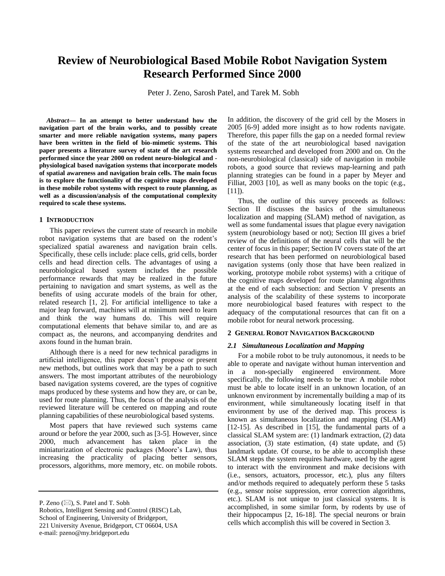# **Review of Neurobiological Based Mobile Robot Navigation System Research Performed Since 2000**

Peter J. Zeno, Sarosh Patel, and Tarek M. Sobh

*Abstract***— In an attempt to better understand how the navigation part of the brain works, and to possibly create smarter and more reliable navigation systems, many papers have been written in the field of bio-mimetic systems. This paper presents a literature survey of state of the art research performed since the year 2000 on rodent neuro-biological and physiological based navigation systems that incorporate models of spatial awareness and navigation brain cells. The main focus is to explore the functionality of the cognitive maps developed in these mobile robot systems with respect to route planning, as well as a discussion/analysis of the computational complexity required to scale these systems.** 

#### **1 INTRODUCTION**

This paper reviews the current state of research in mobile robot navigation systems that are based on the rodent's specialized spatial awareness and navigation brain cells. Specifically, these cells include: place cells, grid cells, border cells and head direction cells. The advantages of using a neurobiological based system includes the possible performance rewards that may be realized in the future pertaining to navigation and smart systems, as well as the benefits of using accurate models of the brain for other, related research [1, 2]. For artificial intelligence to take a major leap forward, machines will at minimum need to learn and think the way humans do. This will require computational elements that behave similar to, and are as compact as, the neurons, and accompanying dendrites and axons found in the human brain.

Although there is a need for new technical paradigms in artificial intelligence, this paper doesn't propose or present new methods, but outlines work that may be a path to such answers. The most important attributes of the neurobiology based navigation systems covered, are the types of cognitive maps produced by these systems and how they are, or can be, used for route planning. Thus, the focus of the analysis of the reviewed literature will be centered on mapping and route planning capabilities of these neurobiological based systems.

Most papers that have reviewed such systems came around or before the year 2000, such as [3-5]. However, since 2000, much advancement has taken place in the miniaturization of electronic packages (Moore's Law), thus increasing the practicality of placing better sensors, processors, algorithms, more memory, etc. on mobile robots.

221 University Avenue, Bridgeport, CT 06604, USA

e-mail: pzeno@my.bridgeport.edu

In addition, the discovery of the grid cell by the Mosers in 2005 [6-9] added more insight as to how rodents navigate. Therefore, this paper fills the gap on a needed formal review of the state of the art neurobiological based navigation systems researched and developed from 2000 and on. On the non-neurobiological (classical) side of navigation in mobile robots, a good source that reviews map-learning and path planning strategies can be found in a paper by Meyer and Filliat, 2003 [10], as well as many books on the topic (e.g.,  $[11]$ ).

Thus, the outline of this survey proceeds as follows: Section II discusses the basics of the simultaneous localization and mapping (SLAM) method of navigation, as well as some fundamental issues that plague every navigation system (neurobiology based or not); Section III gives a brief review of the definitions of the neural cells that will be the center of focus in this paper; Section IV covers state of the art research that has been performed on neurobiological based navigation systems (only those that have been realized in working, prototype mobile robot systems) with a critique of the cognitive maps developed for route planning algorithms at the end of each subsection: and Section V presents an analysis of the scalability of these systems to incorporate more neurobiological based features with respect to the adequacy of the computational resources that can fit on a mobile robot for neural network processing.

#### **2 GENERAL ROBOT NAVIGATION BACKGROUND**

### *2.1 Simultaneous Localization and Mapping*

For a mobile robot to be truly autonomous, it needs to be able to operate and navigate without human intervention and in a non-specially engineered environment. More specifically, the following needs to be true: A mobile robot must be able to locate itself in an unknown location, of an unknown environment by incrementally building a map of its environment, while simultaneously locating itself in that environment by use of the derived map. This process is known as simultaneous localization and mapping (SLAM) [12-15]. As described in [15], the fundamental parts of a classical SLAM system are: (1) landmark extraction, (2) data association, (3) state estimation, (4) state update, and (5) landmark update. Of course, to be able to accomplish these SLAM steps the system requires hardware, used by the agent to interact with the environment and make decisions with (i.e., sensors, actuators, processor, etc.), plus any filters and/or methods required to adequately perform these 5 tasks (e.g., sensor noise suppression, error correction algorithms, etc.). SLAM is not unique to just classical systems. It is accomplished, in some similar form, by rodents by use of their hippocampus [2, 16-18]. The special neurons or brain cells which accomplish this will be covered in Section 3.

P. Zeno  $(\boxtimes)$ , S. Patel and T. Sobh

Robotics, Intelligent Sensing and Control (RISC) Lab, School of Engineering, University of Bridgeport,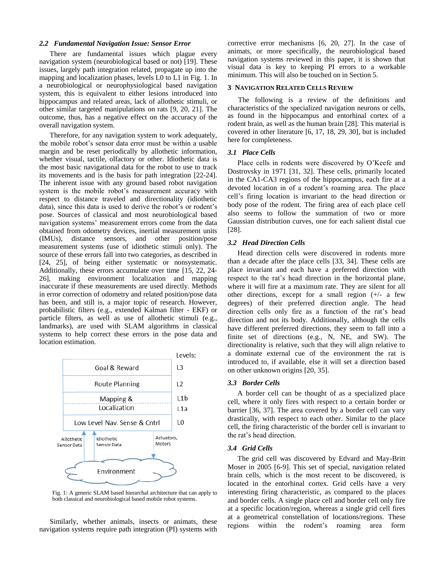## *2.2 Fundamental Navigation Issue: Sensor Error*

There are fundamental issues which plague every navigation system (neurobiological based or not) [19]. These issues, largely path integration related, propagate up into the mapping and localization phases, levels L0 to L1 in Fig. 1. In a neurobiological or neurophysiological based navigation system, this is equivalent to either lesions introduced into hippocampus and related areas, lack of allothetic stimuli, or other similar targeted manipulations on rats [9, 20, 21]. The outcome, thus, has a negative effect on the accuracy of the overall navigation system.

Therefore, for any navigation system to work adequately, the mobile robot's sensor data error must be within a usable margin and be reset periodically by allothetic information, whether visual, tactile, olfactory or other. Idiothetic data is the most basic navigational data for the robot to use to track its movements and is the basis for path integration [22-24]. The inherent issue with any ground based robot navigation system is the mobile robot's measurement accuracy with respect to distance traveled and directionality (idiothetic data), since this data is used to derive the robot's or rodent's pose. Sources of classical and most neurobiological based navigation systems' measurement errors come from the data obtained from odometry devices, inertial measurement units (IMUs), distance sensors, and other position/pose measurement systems (use of idiothetic stimuli only). The source of these errors fall into two categories, as described in [24, 25], of being either systematic or nonsystematic. Additionally, these errors accumulate over time [15, 22, 24- 26], making environment localization and mapping inaccurate if these measurements are used directly. Methods in error correction of odometry and related position/pose data has been, and still is, a major topic of research. However, probabilistic filters (e.g., extended Kalman filter - EKF) or particle filters, as well as use of allothetic stimuli (e.g., landmarks), are used with SLAM algorithms in classical systems to help correct these errors in the pose data and location estimation.



Fig. 1: A generic SLAM based hierarchal architecture that can apply to both classical and neurobiological based mobile robot systems.

Similarly, whether animals, insects or animats, these navigation systems require path integration (PI) systems with corrective error mechanisms [6, 20, 27]. In the case of animats, or more specifically, the neurobiological based navigation systems reviewed in this paper, it is shown that visual data is key to keeping PI errors to a workable minimum. This will also be touched on in Section 5.

#### **3 NAVIGATION RELATED CELLS REVIEW**

The following is a review of the definitions and characteristics of the specialized navigation neurons or cells, as found in the hippocampus and entorhinal cortex of a rodent brain, as well as the human brain [28]. This material is covered in other literature [6, 17, 18, 29, 30], but is included here for completeness.

#### *3.1 Place Cells*

Place cells in rodents were discovered by O'Keefe and Dostrovsky in 1971 [31, 32]. These cells, primarily located in the CA1-CA3 regions of the hippocampus, each fire at a devoted location in of a rodent's roaming area. The place cell's firing location is invariant to the head direction or body pose of the rodent. The firing area of each place cell also seems to follow the summation of two or more Gaussian distribution curves, one for each salient distal cue [28].

## *3.2 Head Direction Cells*

Head direction cells were discovered in rodents more than a decade after the place cells [33, 34]. These cells are place invariant and each have a preferred direction with respect to the rat's head direction in the horizontal plane, where it will fire at a maximum rate. They are silent for all other directions, except for a small region (+/- a few degrees) of their preferred direction angle. The head direction cells only fire as a function of the rat's head direction and not its body. Additionally, although the cells have different preferred directions, they seem to fall into a finite set of directions (e.g., N, NE, and SW). The directionality is relative, such that they will align relative to a dominate external cue of the environment the rat is introduced to, if available, else it will set a direction based on other unknown origins [20, 35].

#### *3.3 Border Cells*

A border cell can be thought of as a specialized place cell, where it only fires with respect to a certain border or barrier [36, 37]. The area covered by a border cell can vary drastically, with respect to each other. Similar to the place cell, the firing characteristic of the border cell is invariant to the rat's head direction.

# *3.4 Grid Cells*

The grid cell was discovered by Edvard and May-Britt Moser in 2005 [6-9]. This set of special, navigation related brain cells, which is the most recent to be discovered, is located in the entorhinal cortex. Grid cells have a very interesting firing characteristic, as compared to the places and border cells. A single place cell and border cell only fire at a specific location/region, whereas a single grid cell fires at a geometrical constellation of locations/regions. These regions within the rodent's roaming area form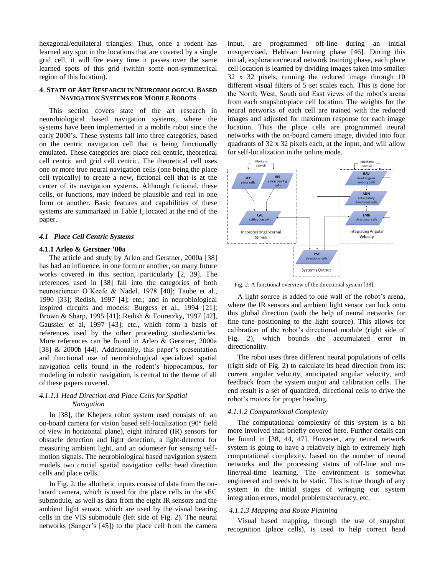hexagonal/equilateral triangles. Thus, once a rodent has learned any spot in the locations that are covered by a single grid cell, it will fire every time it passes over the same learned spots of this grid (within some non-symmetrical region of this location).

## **4 STATE OF ART RESEARCH IN NEUROBIOLOGICAL BASED NAVIGATION SYSTEMS FOR MOBILE ROBOTS**

This section covers state of the art research in neurobiological based navigation systems, where the systems have been implemented in a mobile robot since the early 2000's. These systems fall into three categories, based on the centric navigation cell that is being functionally emulated. These categories are: place cell centric, theoretical cell centric and grid cell centric. The theoretical cell uses one or more true neural navigation cells (one being the place cell typically) to create a new, fictional cell that is at the center of its navigation systems. Although fictional, these cells, or functions, may indeed be plausible and real in one form or another. Basic features and capabilities of these systems are summarized in Table I, located at the end of the paper.

## *4.1 Place Cell Centric Systems*

### **4.1.1 Arleo & Gerstner '00a**

The article and study by Arleo and Gerstner, 2000a [38] has had an influence, in one form or another, on many future works covered in this section, particularly [2, 39]. The references used in [38] fall into the categories of both neuroscience: O'Keefe & Nadel, 1978 [40]; Taube et al., 1990 [33]; Redish, 1997 [4]; etc.; and in neurobiological inspired circuits and models: Burgess et al., 1994 [21]; Brown & Sharp, 1995 [41]; Redish & Touretzky, 1997 [42], Gaussier et al, 1997 [43]; etc., which form a basis of references used by the other proceeding studies/articles. More references can be found in Arleo & Gerstner, 2000a [38] & 2000b [44]. Additionally, this paper's presentation and functional use of neurobiological specialized spatial navigation cells found in the rodent's hippocampus, for modeling in robotic navigation, is central to the theme of all of these papers covered.

# *4.1.1.1 Head Direction and Place Cells for Spatial Navigation*

In [38], the Khepera robot system used consists of: an on-board camera for vision based self-localization (90° field of view in horizontal plane), eight infrared (IR) sensors for obstacle detection and light detection, a light-detector for measuring ambient light, and an odometer for sensing selfmotion signals. The neurobiological based navigation system models two crucial spatial navigation cells: head direction cells and place cells.

In Fig. 2, the allothetic inputs consist of data from the onboard camera, which is used for the place cells in the sEC submodule, as well as data from the eight IR sensors and the ambient light sensor, which are used by the visual bearing cells in the VIS submodule (left side of Fig. 2). The neural networks (Sanger's [45]) to the place cell from the camera

input, are programmed off-line during an initial unsupervised, Hebbian learning phase [46]. During this initial, exploration/neural network training phase, each place cell location is learned by dividing images taken into smaller 32 x 32 pixels, running the reduced image through 10 different visual filters of 5 set scales each. This is done for the North, West, South and East views of the robot's arena from each snapshot/place cell location. The weights for the neural networks of each cell are trained with the reduced images and adjusted for maximum response for each image location. Thus the place cells are programmed neural networks with the on-board camera image, divided into four quadrants of 32 x 32 pixels each, at the input, and will allow for self-localization in the online mode.



Fig. 2: A functional overview of the directional system [38].

A light source is added to one wall of the robot's arena, where the IR sensors and ambient light sensor can lock onto this global direction (with the help of neural networks for fine tune positioning to the light source). This allows for calibration of the robot's directional module (right side of Fig. 2), which bounds the accumulated error in directionality.

The robot uses three different neural populations of cells (right side of Fig. 2) to calculate its head direction from its: current angular velocity, anticipated angular velocity, and feedback from the system output and calibration cells. The end result is a set of quantized, directional cells to drive the robot's motors for proper heading.

# *4.1.1.2 Computational Complexity*

The computational complexity of this system is a bit more involved than briefly covered here. Further details can be found in [38, 44, 47]. However, any neural network system is going to have a relatively high to extremely high computational complexity, based on the number of neural networks and the processing status of off-line and online/real-time learning. The environment is somewhat engineered and needs to be static. This is true though of any system in the initial stages of wringing out system integration errors, model problems/accuracy, etc.

### *4.1.1.3 Mapping and Route Planning*

Visual based mapping, through the use of snapshot recognition (place cells), is used to help correct head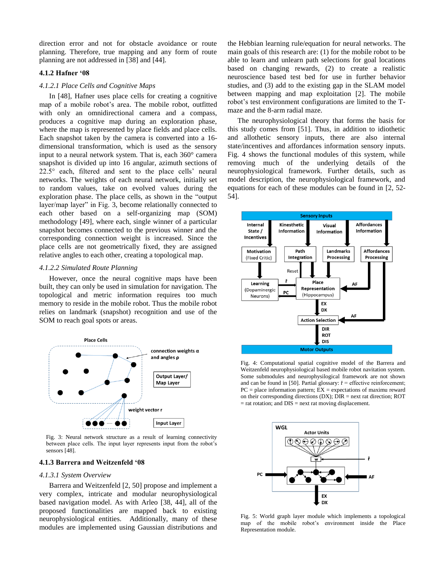direction error and not for obstacle avoidance or route planning. Therefore, true mapping and any form of route planning are not addressed in [38] and [44].

# **4.1.2 Hafner '08**

## *4.1.2.1 Place Cells and Cognitive Maps*

In [48], Hafner uses place cells for creating a cognitive map of a mobile robot's area. The mobile robot, outfitted with only an omnidirectional camera and a compass, produces a cognitive map during an exploration phase, where the map is represented by place fields and place cells. Each snapshot taken by the camera is converted into a 16 dimensional transformation, which is used as the sensory input to a neural network system. That is, each 360° camera snapshot is divided up into 16 angular, azimuth sections of 22.5° each, filtered and sent to the place cells' neural networks. The weights of each neural network, initially set to random values, take on evolved values during the exploration phase. The place cells, as shown in the "output layer/map layer" in Fig. 3, become relationally connected to each other based on a self-organizing map (SOM) methodology [49], where each, single winner of a particular snapshot becomes connected to the previous winner and the corresponding connection weight is increased. Since the place cells are not geometrically fixed, they are assigned relative angles to each other, creating a topological map.

#### *4.1.2.2 Simulated Route Planning*

However, once the neural cognitive maps have been built, they can only be used in simulation for navigation. The topological and metric information requires too much memory to reside in the mobile robot. Thus the mobile robot relies on landmark (snapshot) recognition and use of the SOM to reach goal spots or areas.



Fig. 3: Neural network structure as a result of learning connectivity between place cells. The input layer represents input from the robot's sensors [48].

#### **4.1.3 Barrera and Weitzenfeld '08**

#### *4.1.3.1 System Overview*

Barrera and Weitzenfeld [2, 50] propose and implement a very complex, intricate and modular neurophysiological based navigation model. As with Arleo [38, 44], all of the proposed functionalities are mapped back to existing neurophysiological entities. Additionally, many of these modules are implemented using Gaussian distributions and the Hebbian learning rule/equation for neural networks. The main goals of this research are: (1) for the mobile robot to be able to learn and unlearn path selections for goal locations based on changing rewards, (2) to create a realistic neuroscience based test bed for use in further behavior studies, and (3) add to the existing gap in the SLAM model between mapping and map exploitation [2]. The mobile robot's test environment configurations are limited to the Tmaze and the 8-arm radial maze.

The neurophysiological theory that forms the basis for this study comes from [51]. Thus, in addition to idiothetic and allothetic sensory inputs, there are also internal state/incentives and affordances information sensory inputs. Fig. 4 shows the functional modules of this system, while removing much of the underlying details of the neurophysiological framework. Further details, such as model description, the neurophysiological framework, and equations for each of these modules can be found in [2, 52- 54].



Fig. 4: Computational spatial cognitive model of the Barrera and Weitzenfeld neurophysiological based mobile robot navitation system. Some submodules and neurophysilogical framework are not shown and can be found in [50]. Partial glossary:  $\check{r}$  = effective reinforcement;  $PC = place information pattern; EX = expectations of maximum reward$ on their corresponding directions (DX); DIR = next rat direction; ROT  $=$  rat rotation; and  $DIS =$  next rat moving displacement.



Fig. 5: World graph layer module which implements a topological map of the mobile robot's environment inside the Place Representation module.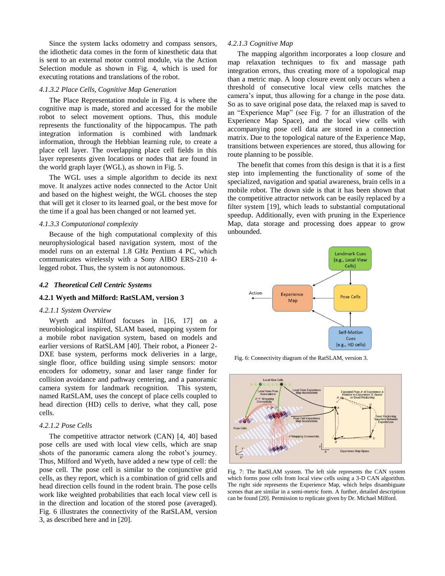Since the system lacks odometry and compass sensors, the idiothetic data comes in the form of kinesthetic data that is sent to an external motor control module, via the Action Selection module as shown in Fig. 4, which is used for executing rotations and translations of the robot.

#### *4.1.3.2 Place Cells, Cognitive Map Generation*

The Place Representation module in Fig. 4 is where the cognitive map is made, stored and accessed for the mobile robot to select movement options. Thus, this module represents the functionality of the hippocampus. The path integration information is combined with landmark information, through the Hebbian learning rule, to create a place cell layer. The overlapping place cell fields in this layer represents given locations or nodes that are found in the world graph layer (WGL), as shown in Fig. 5.

The WGL uses a simple algorithm to decide its next move. It analyzes active nodes connected to the Actor Unit and based on the highest weight, the WGL chooses the step that will get it closer to its learned goal, or the best move for the time if a goal has been changed or not learned yet.

## *4.1.3.3 Computational complexity*

Because of the high computational complexity of this neurophysiological based navigation system, most of the model runs on an external 1.8 GHz Pentium 4 PC, which communicates wirelessly with a Sony AIBO ERS-210 4 legged robot. Thus, the system is not autonomous.

## *4.2 Theoretical Cell Centric Systems*

#### **4.2.1 Wyeth and Milford: RatSLAM, version 3**

#### *4.2.1.1 System Overview*

Wyeth and Milford focuses in [16, 17] on a neurobiological inspired, SLAM based, mapping system for a mobile robot navigation system, based on models and earlier versions of RatSLAM [40]. Their robot, a Pioneer 2- DXE base system, performs mock deliveries in a large, single floor, office building using simple sensors: motor encoders for odometry, sonar and laser range finder for collision avoidance and pathway centering, and a panoramic camera system for landmark recognition. This system, named RatSLAM, uses the concept of place cells coupled to head direction (HD) cells to derive, what they call, pose cells.

#### *4.2.1.2 Pose Cells*

The competitive attractor network (CAN) [4, 40] based pose cells are used with local view cells, which are snap shots of the panoramic camera along the robot's journey. Thus, Milford and Wyeth, have added a new type of cell: the pose cell. The pose cell is similar to the conjunctive grid cells, as they report, which is a combination of grid cells and head direction cells found in the rodent brain. The pose cells work like weighted probabilities that each local view cell is in the direction and location of the stored pose (averaged). Fig. 6 illustrates the connectivity of the RatSLAM, version 3, as described here and in [20].

#### *4.2.1.3 Cognitive Map*

The mapping algorithm incorporates a loop closure and map relaxation techniques to fix and massage path integration errors, thus creating more of a topological map than a metric map. A loop closure event only occurs when a threshold of consecutive local view cells matches the camera's input, thus allowing for a change in the pose data. So as to save original pose data, the relaxed map is saved to an "Experience Map" (see Fig. 7 for an illustration of the Experience Map Space), and the local view cells with accompanying pose cell data are stored in a connection matrix. Due to the topological nature of the Experience Map, transitions between experiences are stored, thus allowing for route planning to be possible.

The benefit that comes from this design is that it is a first step into implementing the functionality of some of the specialized, navigation and spatial awareness, brain cells in a mobile robot. The down side is that it has been shown that the competitive attractor network can be easily replaced by a filter system [19], which leads to substantial computational speedup. Additionally, even with pruning in the Experience Map, data storage and processing does appear to grow unbounded.



Fig. 6: Connectivity diagram of the RatSLAM, version 3.



Fig. 7: The RatSLAM system. The left side represents the CAN system which forms pose cells from local view cells using a 3-D CAN algorithm. The right side represents the Experience Map, which helps disambiguate scenes that are similar in a semi-metric form. A further, detailed description can be found [20]. Permission to replicate given by Dr. Michael Milford.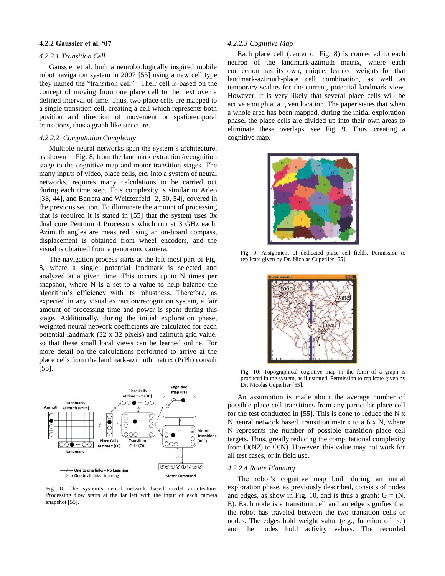## **4.2.2 Gaussier et al. '07**

# *4.2.2.1 Transition Cell*

Gaussier et al. built a neurobiologically inspired mobile robot navigation system in 2007 [55] using a new cell type they named the "transition cell". Their cell is based on the concept of moving from one place cell to the next over a defined interval of time. Thus, two place cells are mapped to a single transition cell, creating a cell which represents both position and direction of movement or spatiotemporal transitions, thus a graph like structure.

## *4.2.2.2 Computation Complexity*

Multiple neural networks span the system's architecture, as shown in Fig. 8, from the landmark extraction/recognition stage to the cognitive map and motor transition stages. The many inputs of video, place cells, etc. into a system of neural networks, requires many calculations to be carried out during each time step. This complexity is similar to Arleo [38, 44], and Barrera and Weitzenfeld [2, 50, 54], covered in the previous section. To illuminate the amount of processing that is required it is stated in  $[55]$  that the system uses  $3x$ dual core Pentium 4 Processors which run at 3 GHz each. Azimuth angles are measured using an on-board compass, displacement is obtained from wheel encoders, and the visual is obtained from a panoramic camera.

The navigation process starts at the left most part of Fig. 8, where a single, potential landmark is selected and analyzed at a given time. This occurs up to N times per snapshot, where N is a set to a value to help balance the algorithm's efficiency with its robustness. Therefore, as expected in any visual extraction/recognition system, a fair amount of processing time and power is spent during this stage. Additionally, during the initial exploration phase, weighted neural network coefficients are calculated for each potential landmark (32 x 32 pixels) and azimuth grid value, so that these small local views can be learned online. For more detail on the calculations performed to arrive at the place cells from the landmark-azimuth matrix (PrPh) consult [55].



Fig. 8: The system's neural network based model architecture. Processing flow starts at the far left with the input of each camera snapshot [55].

## *4.2.2.3 Cognitive Map*

Each place cell (center of Fig. 8) is connected to each neuron of the landmark-azimuth matrix, where each connection has its own, unique, learned weights for that landmark-azimuth-place cell combination, as well as temporary scalars for the current, potential landmark view. However, it is very likely that several place cells will be active enough at a given location. The paper states that when a whole area has been mapped, during the initial exploration phase, the place cells are divided up into their own areas to eliminate these overlaps, see Fig. 9. Thus, creating a cognitive map.



Fig. 9: Assignment of dedicated place cell fields. Permission to replicate given by Dr. Nicolas Cuperlier [55].



Fig. 10: Topographical cognitive map in the form of a graph is produced in the system, as illustrated. Permission to replicate given by Dr. Nicolas Cuperlier [55].

An assumption is made about the average number of possible place cell transitions from any particular place cell for the test conducted in [55]. This is done to reduce the N x N neural network based, transition matrix to a 6 x N, where N represents the number of possible transition place cell targets. Thus, greatly reducing the computational complexity from O(N2) to O(N). However, this value may not work for all test cases, or in field use.

## *4.2.2.4 Route Planning*

The robot's cognitive map built during an initial exploration phase, as previously described, consists of nodes and edges, as show in Fig. 10, and is thus a graph:  $G = (N,$ E). Each node is a transition cell and an edge signifies that the robot has traveled between the two transition cells or nodes. The edges hold weight value (e.g., function of use) and the nodes hold activity values. The recorded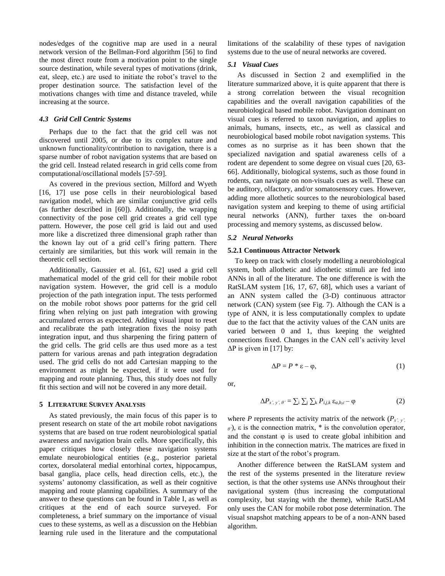nodes/edges of the cognitive map are used in a neural network version of the Bellman-Ford algorithm [56] to find the most direct route from a motivation point to the single source destination, while several types of motivations (drink, eat, sleep, etc.) are used to initiate the robot's travel to the proper destination source. The satisfaction level of the motivations changes with time and distance traveled, while increasing at the source.

# *4.3 Grid Cell Centric Systems*

Perhaps due to the fact that the grid cell was not discovered until 2005, or due to its complex nature and unknown functionality/contribution to navigation, there is a sparse number of robot navigation systems that are based on the grid cell. Instead related research in grid cells come from computational/oscillational models [57-59].

As covered in the previous section, Milford and Wyeth [16, 17] use pose cells in their neurobiological based navigation model, which are similar conjunctive grid cells (as further described in [60]). Additionally, the wrapping connectivity of the pose cell grid creates a grid cell type pattern. However, the pose cell grid is laid out and used more like a discretized three dimensional graph rather than the known lay out of a grid cell's firing pattern. There certainly are similarities, but this work will remain in the theoretic cell section.

Additionally, Gaussier et al. [61, 62] used a grid cell mathematical model of the grid cell for their mobile robot navigation system. However, the grid cell is a modulo projection of the path integration input. The tests performed on the mobile robot shows poor patterns for the grid cell firing when relying on just path integration with growing accumulated errors as expected. Adding visual input to reset and recalibrate the path integration fixes the noisy path integration input, and thus sharpening the firing pattern of the grid cells. The grid cells are thus used more as a test pattern for various arenas and path integration degradation used. The grid cells do not add Cartesian mapping to the environment as might be expected, if it were used for mapping and route planning. Thus, this study does not fully fit this section and will not be covered in any more detail.

#### **5 LITERATURE SURVEY ANALYSIS**

As stated previously, the main focus of this paper is to present research on state of the art mobile robot navigations systems that are based on true rodent neurobiological spatial awareness and navigation brain cells. More specifically, this paper critiques how closely these navigation systems emulate neurobiological entities (e.g., posterior parietal cortex, dorsolateral medial entorhinal cortex, hippocampus, basal ganglia, place cells, head direction cells, etc.), the systems' autonomy classification, as well as their cognitive mapping and route planning capabilities. A summary of the answer to these questions can be found in Table I, as well as critiques at the end of each source surveyed. For completeness, a brief summary on the importance of visual cues to these systems, as well as a discussion on the Hebbian learning rule used in the literature and the computational

limitations of the scalability of these types of navigation systems due to the use of neural networks are covered.

# *5.1 Visual Cues*

As discussed in Section 2 and exemplified in the literature summarized above, it is quite apparent that there is a strong correlation between the visual recognition capabilities and the overall navigation capabilities of the neurobiological based mobile robot. Navigation dominant on visual cues is referred to taxon navigation, and applies to animals, humans, insects, etc., as well as classical and neurobiological based mobile robot navigation systems. This comes as no surprise as it has been shown that the specialized navigation and spatial awareness cells of a rodent are dependent to some degree on visual cues [20, 63- 66]. Additionally, biological systems, such as those found in rodents, can navigate on non-visuals cues as well. These can be auditory, olfactory, and/or somatosensory cues. However, adding more allothetic sources to the neurobiological based navigation system and keeping to theme of using artificial neural networks (ANN), further taxes the on-board processing and memory systems, as discussed below.

#### *5.2 Neural Networks*

#### **5.2.1 Continuous Attractor Network**

To keep on track with closely modelling a neurobiological system, both allothetic and idiothetic stimuli are fed into ANNs in all of the literature. The one difference is with the RatSLAM system [16, 17, 67, 68], which uses a variant of an ANN system called the (3-D) continuous attractor network (CAN) system (see Fig. 7). Although the CAN is a type of ANN, it is less computationally complex to update due to the fact that the activity values of the CAN units are varied between 0 and 1, thus keeping the weighted connections fixed. Changes in the CAN cell's activity level  $\Delta P$  is given in [17] by:

$$
\Delta P = P * \varepsilon - \varphi,\tag{1}
$$

or,

$$
\Delta P_{x',y',\theta'} = \sum_{i} \sum_{j} \sum_{k} P_{i,j,k} \varepsilon_{a,b,c} - \varphi
$$
 (2)

where *P* represents the activity matrix of the network  $(P_{x,y})$ . *θ'*), ε is the connection matrix, \* is the convolution operator, and the constant  $\varphi$  is used to create global inhibition and inhibition in the connection matrix. The matrices are fixed in size at the start of the robot's program.

Another difference between the RatSLAM system and the rest of the systems presented in the literature review section, is that the other systems use ANNs throughout their navigational system (thus increasing the computational complexity, but staying with the theme), while RatSLAM only uses the CAN for mobile robot pose determination. The visual snapshot matching appears to be of a non-ANN based algorithm.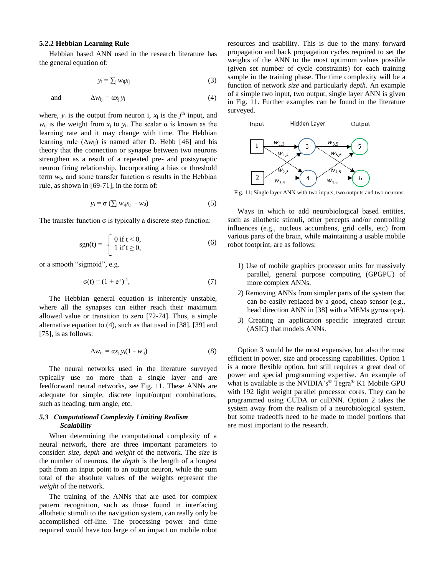## **5.2.2 Hebbian Learning Rule**

Hebbian based ANN used in the research literature has the general equation of:

$$
y_i = \sum_j w_{ij} x_j \tag{3}
$$

and 
$$
\Delta w_{ij} = \alpha x_j y_i \tag{4}
$$

where,  $y_i$  is the output from neuron i,  $x_j$  is the  $j<sup>th</sup>$  input, and  $w_{ij}$  is the weight from  $x_j$  to  $y_j$ . The scalar  $\alpha$  is known as the learning rate and it may change with time. The Hebbian learning rule  $(\Delta w_{ii})$  is named after D. Hebb [46] and his theory that the connection or synapse between two neurons strengthen as a result of a repeated pre- and postsynaptic neuron firing relationship. Incorporating a bias or threshold term  $w_0$ , and some transfer function σ results in the Hebbian rule, as shown in [69-71], in the form of:

$$
y_i = \sigma \left( \sum_j w_{ij} x_j - w_0 \right) \tag{5}
$$

The transfer function  $\sigma$  is typically a discrete step function:

$$
sgn(t) = \begin{cases} 0 \text{ if } t < 0, \\ 1 \text{ if } t \ge 0, \end{cases}
$$
 (6)

or a smooth "sigmoid", e.g.

$$
\sigma(t) = (1 + e^{-t})^{-1},\tag{7}
$$

The Hebbian general equation is inherently unstable, where all the synapses can either reach their maximum allowed value or transition to zero [72-74]. Thus, a simple alternative equation to (4), such as that used in [38], [39] and [75], is as follows:

$$
\Delta w_{ij} = \alpha x_j y_i (1 - w_{ij})
$$
 (8)

The neural networks used in the literature surveyed typically use no more than a single layer and are feedforward neural networks, see Fig. 11. These ANNs are adequate for simple, discrete input/output combinations, such as heading, turn angle, etc.

# *5.3 Computational Complexity Limiting Realism Scalability*

When determining the computational complexity of a neural network, there are three important parameters to consider: *size*, *depth* and *weight* of the network. The *size* is the number of neurons, the *depth* is the length of a longest path from an input point to an output neuron, while the sum total of the absolute values of the weights represent the *weight* of the network.

The training of the ANNs that are used for complex pattern recognition, such as those found in interfacing allothetic stimuli to the navigation system, can really only be accomplished off-line. The processing power and time required would have too large of an impact on mobile robot

resources and usability. This is due to the many forward propagation and back propagation cycles required to set the weights of the ANN to the most optimum values possible (given set number of cycle constraints) for each training sample in the training phase. The time complexity will be a function of network *size* and particularly *depth*. An example of a simple two input, two output, single layer ANN is given in Fig. 11. Further examples can be found in the literature surveyed.



Fig. 11: Single layer ANN with two inputs, two outputs and two neurons.

Ways in which to add neurobiological based entities, such as allothetic stimuli, other percepts and/or controlling influences (e.g., nucleus accumbens, grid cells, etc) from various parts of the brain, while maintaining a usable mobile robot footprint, are as follows:

- 1) Use of mobile graphics processor units for massively parallel, general purpose computing (GPGPU) of more complex ANNs,
- 2) Removing ANNs from simpler parts of the system that can be easily replaced by a good, cheap sensor (e.g., head direction ANN in [38] with a MEMs gyroscope).
- 3) Creating an application specific integrated circuit (ASIC) that models ANNs.

Option 3 would be the most expensive, but also the most efficient in power, size and processing capabilities. Option 1 is a more flexible option, but still requires a great deal of power and special programming expertise. An example of what is available is the NVIDIA's ® Tegra® K1 Mobile GPU with 192 light weight parallel processor cores. They can be programmed using CUDA or cuDNN. Option 2 takes the system away from the realism of a neurobiological system, but some tradeoffs need to be made to model portions that are most important to the research.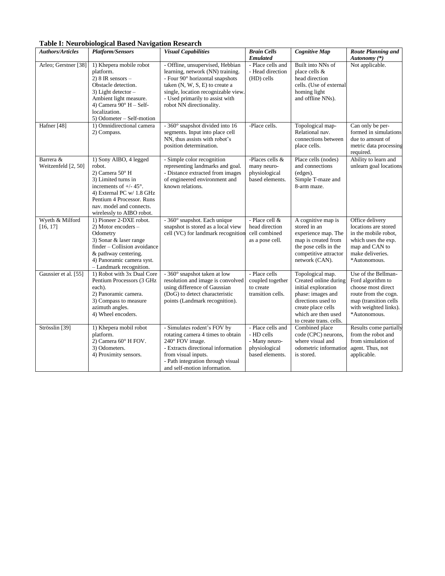**Table I: Neurobiological Based Navigation Research** 

| <b>Authors/Articles</b> | <b>Platform/Sensors</b>                                | <b>Visual Capabilities</b>          | <b>Brain Cells</b> | <b>Cognitive Map</b>    | <b>Route Planning and</b> |
|-------------------------|--------------------------------------------------------|-------------------------------------|--------------------|-------------------------|---------------------------|
|                         |                                                        |                                     | <b>Emulated</b>    |                         | Autonomy (*)              |
| Arleo; Gerstner [38]    | 1) Khepera mobile robot                                | - Offline, unsupervised, Hebbian    | - Place cells and  | Built into NNs of       | Not applicable.           |
|                         | platform.                                              | learning, network (NN) training.    | - Head direction   | place cells $&$         |                           |
|                         | $2)$ 8 IR sensors $-$                                  | - Four 90° horizontal snapshots     | (HD) cells         | head direction          |                           |
|                         | Obstacle detection.                                    | taken $(N, W, S, E)$ to create a    |                    | cells. (Use of external |                           |
|                         | 3) Light detector $-$                                  | single, location recognizable view. |                    | homing light            |                           |
|                         | Ambient light measure.                                 | - Used primarily to assist with     |                    | and offline NNs).       |                           |
|                         | 4) Camera $90^\circ$ H - Self-                         | robot NN directionality.            |                    |                         |                           |
|                         | localization.                                          |                                     |                    |                         |                           |
|                         | 5) Odometer – Self-motion                              |                                     |                    |                         |                           |
| Hafner [48]             | 1) Omnidirectional camera                              | - 360° snapshot divided into 16     | -Place cells.      | Topological map-        | Can only be per-          |
|                         | 2) Compass.                                            | segments. Input into place cell     |                    | Relational nav.         | formed in simulations     |
|                         |                                                        | NN, thus assists with robot's       |                    | connections between     | due to amount of          |
|                         |                                                        | position determination.             |                    | place cells.            | metric data processing    |
|                         |                                                        |                                     |                    |                         | required.                 |
| Barrera &               | 1) Sony AIBO, 4 legged                                 | - Simple color recognition          | -Places cells &    | Place cells (nodes)     | Ability to learn and      |
| Weitzenfeld [2, 50]     | robot.                                                 | representing landmarks and goal.    | many neuro-        | and connections         | unlearn goal locations    |
|                         | 2) Camera 50° H                                        | - Distance extracted from images    | physiological      | (edges).                |                           |
|                         | 3) Limited turns in                                    | of engineered environment and       | based elements.    | Simple T-maze and       |                           |
|                         | increments of $+/- 45^{\circ}$ .                       | known relations.                    |                    | 8-arm maze.             |                           |
|                         | 4) External PC w/ 1.8 GHz<br>Pentium 4 Processor. Runs |                                     |                    |                         |                           |
|                         | nav. model and connects.                               |                                     |                    |                         |                           |
|                         | wirelessly to AIBO robot.                              |                                     |                    |                         |                           |
| Wyeth & Milford         | 1) Pioneer 2-DXE robot.                                | - 360° snapshot. Each unique        | - Place cell &     | A cognitive map is      | Office delivery           |
| [16, 17]                | 2) Motor encoders -                                    | snapshot is stored as a local view  | head direction     | stored in an            | locations are stored      |
|                         | Odometry                                               | cell (VC) for landmark recognition  | cell combined      | experience map. The     | in the mobile robot,      |
|                         | 3) Sonar & laser range                                 |                                     | as a pose cell.    | map is created from     | which uses the exp.       |
|                         | finder - Collision avoidance                           |                                     |                    | the pose cells in the   | map and CAN to            |
|                         | & pathway centering.                                   |                                     |                    | competitive attractor   | make deliveries.          |
|                         | 4) Panoramic camera syst.                              |                                     |                    | network (CAN).          | *Autonomous.              |
|                         | - Landmark recognition.                                |                                     |                    |                         |                           |
| Gaussier et al. [55]    | 1) Robot with 3x Dual Core                             | - 360° snapshot taken at low        | - Place cells      | Topological map.        | Use of the Bellman-       |
|                         | Pentium Processors (3 GHz                              | resolution and image is convolved   | coupled together   | Created online during   | Ford algorithm to         |
|                         | each).                                                 | using difference of Gaussian        | to create          | initial exploration     | choose most direct        |
|                         | 2) Panoramic camera.                                   | (DoG) to detect characteristic      | transition cells.  | phase: images and       | route from the cogn.      |
|                         | 3) Compass to measure                                  | points (Landmark recognition).      |                    | directions used to      | map (transition cells     |
|                         | azimuth angles.                                        |                                     |                    | create place cells      | with weighted links).     |
|                         | 4) Wheel encoders.                                     |                                     |                    | which are then used     | *Autonomous.              |
|                         |                                                        |                                     |                    | to create trans. cells. |                           |
| Strösslin [39]          | 1) Khepera mobil robot                                 | - Simulates rodent's FOV by         | - Place cells and  | Combined place          | Results come partially    |
|                         | platform.                                              | rotating camera 4 times to obtain   | - HD cells         | code (CPC) neurons,     | from the robot and        |
|                         | 2) Camera 60° H FOV.                                   | 240° FOV image.                     | - Many neuro-      | where visual and        | from simulation of        |
|                         | 3) Odometers.                                          | - Extracts directional information  | physiological      | odometric information   | agent. Thus, not          |
|                         | 4) Proximity sensors.                                  | from visual inputs.                 | based elements.    | is stored.              | applicable.               |
|                         |                                                        | - Path integration through visual   |                    |                         |                           |
|                         |                                                        | and self-motion information.        |                    |                         |                           |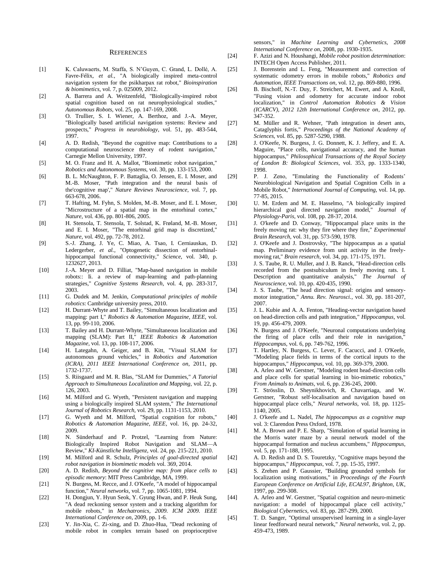#### **REFERENCES**

- [1] K. Caluwaerts, M. Staffa, S. N'Guyen, C. Grand, L. Dollé, A. Favre-Félix*, et al.*, "A biologically inspired meta-control navigation system for the psikharpax rat robot," *Bioinspiration & biomimetics,* vol. 7, p. 025009, 2012.
- [2] A. Barrera and A. Weitzenfeld, "Biologically-inspired robot spatial cognition based on rat neurophysiological studies," *Autonomous Robots,* vol. 25, pp. 147-169, 2008.
- [3] O. Trullier, S. I. Wiener, A. Berthoz, and J.-A. Meyer, "Biologically based artificial navigation systems: Review and prospects," *Progress in neurobiology,* vol. 51, pp. 483-544, 1997.
- [4] A. D. Redish, "Beyond the cognitive map: Contributions to a computational neuroscience theory of rodent navigation," Carnegie Mellon University, 1997.
- [5] M. O. Franz and H. A. Mallot, "Biomimetic robot navigation," *Robotics and Autonomous Systems,* vol. 30, pp. 133-153, 2000.
- [6] B. L. McNaughton, F. P. Battaglia, O. Jensen, E. I. Moser, and M.-B. Moser, "Path integration and the neural basis of the'cognitive map'," *Nature Reviews Neuroscience,* vol. 7, pp. 663-678, 2006.
- [7] T. Hafting, M. Fyhn, S. Molden, M.-B. Moser, and E. I. Moser, "Microstructure of a spatial map in the entorhinal cortex," *Nature,* vol. 436, pp. 801-806, 2005.
- [8] H. Stensola, T. Stensola, T. Solstad, K. Frøland, M.-B. Moser, and E. I. Moser, "The entorhinal grid map is discretized," *Nature,* vol. 492, pp. 72-78, 2012.
- [9] S.-J. Zhang, J. Ye, C. Miao, A. Tsao, I. Cerniauskas, D. Ledergerber*, et al.*, "Optogenetic dissection of entorhinalhippocampal functional connectivity," *Science,* vol. 340, p. 1232627, 2013.
- [10] J.-A. Meyer and D. Filliat, "Map-based navigation in mobile robots:: Ii. a review of map-learning and path-planning strategies," *Cognitive Systems Research,* vol. 4, pp. 283-317, 2003.
- [11] G. Dudek and M. Jenkin, *Computational principles of mobile robotics*: Cambridge university press, 2010.
- [12] H. Durrant-Whyte and T. Bailey, "Simultaneous localization and mapping: part I," *Robotics & Automation Magazine, IEEE,* vol. 13, pp. 99-110, 2006.
- [13] T. Bailey and H. Durrant-Whyte, "Simultaneous localization and mapping (SLAM): Part II," *IEEE Robotics & Automation Magazine,* vol. 13, pp. 108-117, 2006.
- [14] H. Lategahn, A. Geiger, and B. Kitt, "Visual SLAM for autonomous ground vehicles," in *Robotics and Automation (ICRA), 2011 IEEE International Conference on*, 2011, pp. 1732-1737.
- [15] S. Riisgaard and M. R. Blas, "SLAM for Dummies," *A Tutorial Approach to Simultaneous Localization and Mapping,* vol. 22, p. 126, 2003.
- [16] M. Milford and G. Wyeth, "Persistent navigation and mapping using a biologically inspired SLAM system," *The International Journal of Robotics Research,* vol. 29, pp. 1131-1153, 2010.
- [17] G. Wyeth and M. Milford, "Spatial cognition for robots," *Robotics & Automation Magazine, IEEE,* vol. 16, pp. 24-32, 2009.
- [18] N. Sünderhauf and P. Protzel, "Learning from Nature: Biologically Inspired Robot Navigation and SLAM—A Review," *KI-Künstliche Intelligenz,* vol. 24, pp. 215-221, 2010.
- [19] M. Milford and R. Schulz, *Principles of goal-directed spatial robot navigation in biomimetic models* vol. 369, 2014.
- [20] A. D. Redish, *Beyond the cognitive map: from place cells to episodic memory*: MIT Press Cambridge, MA, 1999.
- [21] N. Burgess, M. Recce, and J. O'Keefe, "A model of hippocampal function," *Neural networks,* vol. 7, pp. 1065-1081, 1994.
- [22] H. Dongjun, Y. Hyun Seok, Y. Gyung Hwan, and P. Heuk Sung, "A dead reckoning sensor system and a tracking algorithm for mobile robots," in *Mechatronics, 2009. ICM 2009. IEEE International Conference on*, 2009, pp. 1-6.
- [23] Y. Jin-Xia, C. Zi-xing, and D. Zhuo-Hua, "Dead reckoning of mobile robot in complex terrain based on proprioceptive

sensors," in *Machine Learning and Cybernetics, 2008 International Conference on*, 2008, pp. 1930-1935.

- [24] F. Azizi and N. Houshangi, *Mobile robot position determination*: INTECH Open Access Publisher, 2011.
- [25] J. Borenstein and L. Feng, "Measurement and correction of systematic odometry errors in mobile robots," *Robotics and Automation, IEEE Transactions on,* vol. 12, pp. 869-880, 1996.
- [26] B. Bischoff, N.-T. Duy, F. Streichert, M. Ewert, and A. Knoll, "Fusing vision and odometry for accurate indoor robot localization," in *Control Automation Robotics & Vision (ICARCV), 2012 12th International Conference on*, 2012, pp. 347-352.
- [27] M. Müller and R. Wehner, "Path integration in desert ants, Cataglyphis fortis," *Proceedings of the National Academy of Sciences,* vol. 85, pp. 5287-5290, 1988.
- [28] J. O'Keefe, N. Burgess, J. G. Donnett, K. J. Jeffery, and E. A. Maguire, "Place cells, navigational accuracy, and the human hippocampus," *Philosophical Transactions of the Royal Society of London B: Biological Sciences,* vol. 353, pp. 1333-1340, 1998.
- [29] P. J. Zeno, "Emulating the Functionality of Rodents' Neurobiological Navigation and Spatial Cognition Cells in a Mobile Robot," *International Journal of Computing,* vol. 14, pp. 77-85, 2015.
- [30] U. M. Erdem and M. E. Hasselmo, "A biologically inspired hierarchical goal directed navigation model," *Journal of Physiology-Paris,* vol. 108, pp. 28-37, 2014.
- [31] J. O'keefe and D. Conway, "Hippocampal place units in the freely moving rat: why they fire where they fire," *Experimental Brain Research,* vol. 31, pp. 573-590, 1978.
- [32] J. O'Keefe and J. Dostrovsky, "The hippocampus as a spatial map. Preliminary evidence from unit activity in the freelymoving rat," *Brain research,* vol. 34, pp. 171-175, 1971.
- [33] J. S. Taube, R. U. Muller, and J. B. Ranck, "Head-direction cells recorded from the postsubiculum in freely moving rats. I. Description and quantitative analysis," *The Journal of Neuroscience,* vol. 10, pp. 420-435, 1990.
- [34] J. S. Taube, "The head direction signal: origins and sensorymotor integration," *Annu. Rev. Neurosci.,* vol. 30, pp. 181-207, 2007.
- [35] J. L. Kubie and A. A. Fenton, "Heading-vector navigation based on head-direction cells and path integration," *Hippocampus,* vol. 19, pp. 456-479, 2009.
- [36] N. Burgess and J. O'Keefe, "Neuronal computations underlying the firing of place cells and their role in navigation, *Hippocampus,* vol. 6, pp. 749-762, 1996.
- [37] T. Hartley, N. Burgess, C. Lever, F. Cacucci, and J. O'Keefe, "Modeling place fields in terms of the cortical inputs to the hippocampus," *Hippocampus,* vol. 10, pp. 369-379, 2000.
- [38] A. Arleo and W. Gerstner, "Modeling rodent head-direction cells and place cells for spatial learning in bio-mimetic robotics," *From Animals to Animats,* vol. 6, pp. 236-245, 2000.
- [39] T. Strösslin, D. Sheynikhovich, R. Chavarriaga, and W. Gerstner, "Robust self-localisation and navigation based on hippocampal place cells," *Neural networks,* vol. 18, pp. 1125- 1140, 2005.
- [40] J. O'keefe and L. Nadel, *The hippocampus as a cognitive map* vol. 3: Clarendon Press Oxford, 1978.
- [41] M. A. Brown and P. E. Sharp, "Simulation of spatial learning in the Morris water maze by a neural network model of the hippocampal formation and nucleus accumbens," *Hippocampus,*  vol. 5, pp. 171-188, 1995.
- [42] A. D. Redish and D. S. Touretzky, "Cognitive maps beyond the hippocampus," *Hippocampus,* vol. 7, pp. 15-35, 1997.
- [43] S. Zrehen and P. Gaussier, "Building grounded symbols for localization using motivations," in *Proceedings of the Fourth European Conference on Artificial Life, ECAL97, Brighton, UK*, 1997, pp. 299-308.
- [44] A. Arleo and W. Gerstner, "Spatial cognition and neuro-mimetic navigation: a model of hippocampal place cell activity," *Biological Cybernetics,* vol. 83, pp. 287-299, 2000.
- [45] T. D. Sanger, "Optimal unsupervised learning in a single-layer linear feedforward neural network," *Neural networks,* vol. 2, pp. 459-473, 1989.